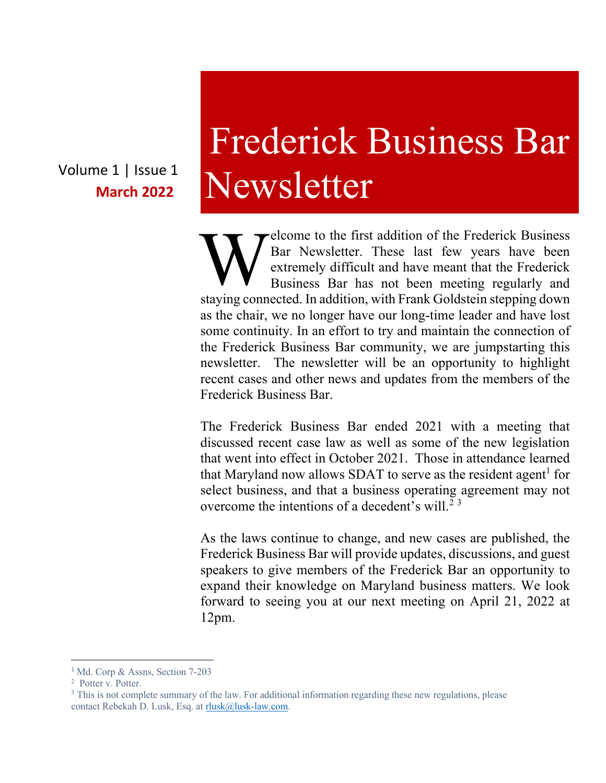Volume 1 | Issue 1 **March 2022**

# Frederick Business Bar Newsletter

elcome to the first addition of the Frederick Business Bar Newsletter. These last few years have been extremely difficult and have meant that the Frederick Business Bar has not been meeting regularly and Sar Newsletter. These last few years have been extremely difficult and have meant that the Frederick Business Bar has not been meeting regularly and staying connected. In addition, with Frank Goldstein stepping down as the chair, we no longer have our long-time leader and have lost some continuity. In an effort to try and maintain the connection of the Frederick Business Bar community, we are jumpstarting this newsletter. The newsletter will be an opportunity to highlight recent cases and other news and updates from the members of the Frederick Business Bar.

The Frederick Business Bar ended 2021 with a meeting that discussed recent case law as well as some of the new legislation that went into effect in October 2021. Those in attendance learned that Maryland now allows SDAT to serve as the resident agent<sup>1</sup> for select business, and that a business operating agreement may not overcome the intentions of a decedent's will.<sup>23</sup>

As the laws continue to change, and new cases are published, the Frederick Business Bar will provide updates, discussions, and guest speakers to give members of the Frederick Bar an opportunity to expand their knowledge on Maryland business matters. We look forward to seeing you at our next meeting on April 21, 2022 at 12pm.

<sup>&</sup>lt;sup>1</sup> Md. Corp & Assns, Section 7-203

<sup>2</sup> Potter v. Potter.

<sup>&</sup>lt;sup>3</sup> This is not complete summary of the law. For additional information regarding these new regulations, please contact Rebekah D. Lusk, Esq. at rlusk@lusk-law.com.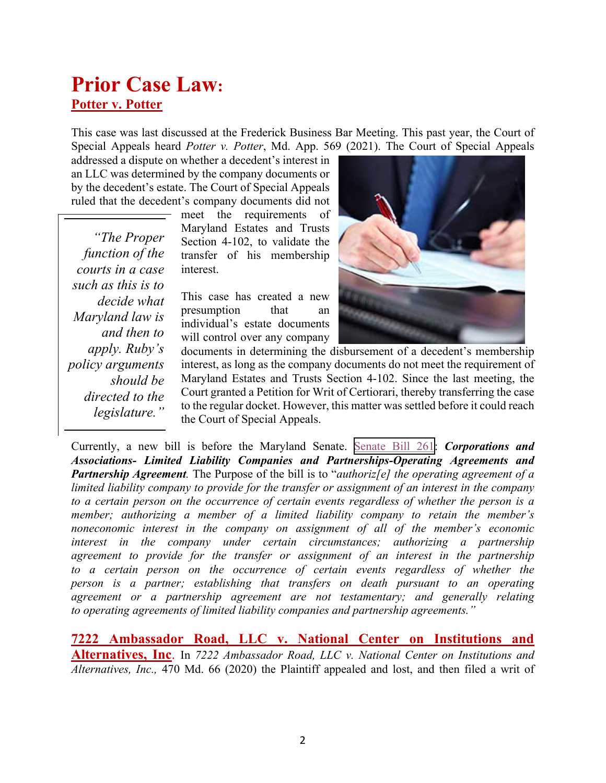#### **Prior Case Law: Potter v. Potter**

This case was last discussed at the Frederick Business Bar Meeting. This past year, the Court of Special Appeals heard *Potter v. Potter*, Md. App. 569 (2021). The Court of Special Appeals

addressed a dispute on whether a decedent's interest in an LLC was determined by the company documents or by the decedent's estate. The Court of Special Appeals ruled that the decedent's company documents did not

*"The Proper function of the courts in a case such as this is to decide what Maryland law is and then to apply. Ruby's policy arguments should be directed to the legislature."*

meet the requirements of Maryland Estates and Trusts Section 4-102, to validate the transfer of his membership interest.

This case has created a new presumption that an individual's estate documents will control over any company



documents in determining the disbursement of a decedent's membership interest, as long as the company documents do not meet the requirement of Maryland Estates and Trusts Section 4-102. Since the last meeting, the Court granted a Petition for Writ of Certiorari, thereby transferring the case to the regular docket. However, this matter was settled before it could reach the Court of Special Appeals.

Currently, a new bill is before the Maryland Senate. [Senate Bill 261](https://mgaleg.maryland.gov/2022RS/bills/sb/sb0261f.pdf): *Corporations and*  - *Associations- Limited Liability Companies and Partnerships-Operating Agreements and*  S *Partnership Agreement.* The Purpose of the bill is to "*authoriz[e] the operating agreement of a*  limited liability company to provide for the transfer or assignment of an interest in the company *to a certain person on the occurrence of certain events regardless of whether the person is a member; authorizing a member of a limited liability company to retain the member's* a *noneconomic interest in the company on assignment of all of the member's economic* n *interest in the company under certain circumstances; authorizing a partnership agreement to provide for the transfer or assignment of an interest in the partnership* n *to a certain person on the occurrence of certain events regardless of whether the person is a partner; establishing that transfers on death pursuant to an operating agreement or a partnership agreement are not testamentary; and generally relating* n *to operating agreements of limited liability companies and partnership agreements."*

**7222 Ambassador Road, LLC v. National Center on Institutions and Alternatives, Inc**. In *7222 Ambassador Road, LLC v. National Center on Institutions and Alternatives, Inc.,* 470 Md. 66 (2020) the Plaintiff appealed and lost, and then filed a writ of l i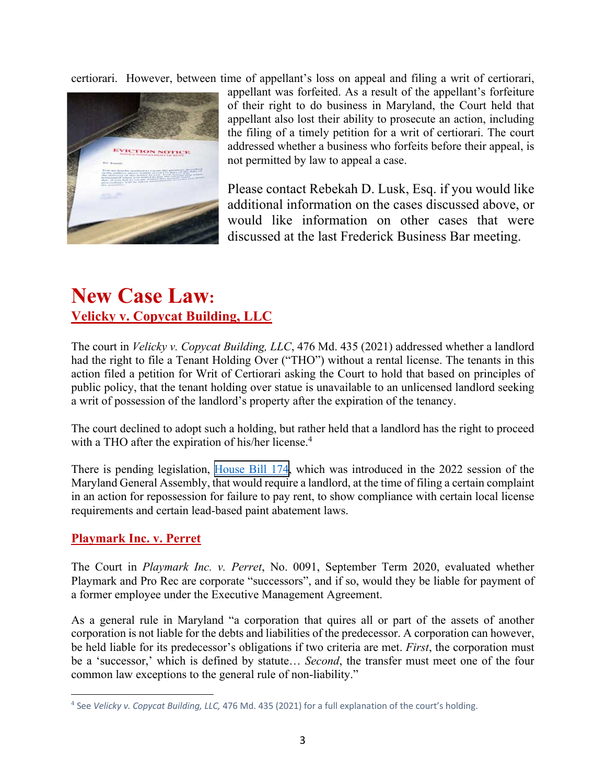certiorari. However, between time of appellant's loss on appeal and filing a writ of certiorari,



appellant was forfeited. As a result of the appellant's forfeiture of their right to do business in Maryland, the Court held that appellant also lost their ability to prosecute an action, including the filing of a timely petition for a writ of certiorari. The court addressed whether a business who forfeits before their appeal, is not permitted by law to appeal a case.

Please contact Rebekah D. Lusk, Esq. if you would like additional information on the cases discussed above, or would like information on other cases that were discussed at the last Frederick Business Bar meeting.

### **New Case Law: Velicky v. Copycat Building, LLC**

The court in *Velicky v. Copycat Building, LLC*, 476 Md. 435 (2021) addressed whether a landlord had the right to file a Tenant Holding Over ("THO") without a rental license. The tenants in this action filed a petition for Writ of Certiorari asking the Court to hold that based on principles of public policy, that the tenant holding over statue is unavailable to an unlicensed landlord seeking a writ of possession of the landlord's property after the expiration of the tenancy.

The court declined to adopt such a holding, but rather held that a landlord has the right to proceed with a THO after the expiration of his/her license.<sup>4</sup>

There is pending legislation, [House Bill 174,](https://mgaleg.maryland.gov/2022RS/bills/hb/hb0174F.pdf) which was introduced in the 2022 session of the Maryland General Assembly, that would require a landlord, at the time of filing a certain complaint in an action for repossession for failure to pay rent, to show compliance with certain local license requirements and certain lead-based paint abatement laws.

#### **Playmark Inc. v. Perret**

The Court in *Playmark Inc. v. Perret*, No. 0091, September Term 2020, evaluated whether Playmark and Pro Rec are corporate "successors", and if so, would they be liable for payment of a former employee under the Executive Management Agreement.

As a general rule in Maryland "a corporation that quires all or part of the assets of another corporation is not liable for the debts and liabilities of the predecessor. A corporation can however, be held liable for its predecessor's obligations if two criteria are met. *First*, the corporation must be a 'successor,' which is defined by statute… *Second*, the transfer must meet one of the four common law exceptions to the general rule of non-liability."

<sup>4</sup> See *Velicky v. Copycat Building, LLC,* 476 Md. 435 (2021) for a full explanation of the court's holding.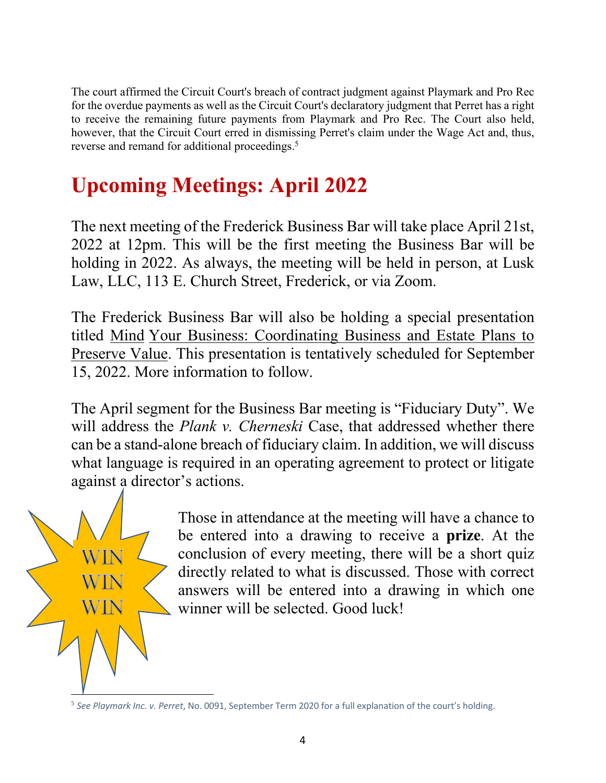The court affirmed the Circuit Court's breach of contract judgment against Playmark and Pro Rec for the overdue payments as well as the Circuit Court's declaratory judgment that Perret has a right to receive the remaining future payments from Playmark and Pro Rec. The Court also held, however, that the Circuit Court erred in dismissing Perret's claim under the Wage Act and, thus, reverse and remand for additional proceedings.<sup>5</sup>

## **Upcoming Meetings: April 2022**

The next meeting of the Frederick Business Bar will take place April 21st, 2022 at 12pm. This will be the first meeting the Business Bar will be holding in 2022. As always, the meeting will be held in person, at Lusk Law, LLC, 113 E. Church Street, Frederick, or via Zoom.

The Frederick Business Bar will also be holding a special presentation titled Mind Your Business: Coordinating Business and Estate Plans to Preserve Value. This presentation is tentatively scheduled for September 15, 2022. More information to follow.

The April segment for the Business Bar meeting is "Fiduciary Duty". We will address the *Plank v. Cherneski* Case, that addressed whether there can be a stand-alone breach of fiduciary claim. In addition, we will discuss what language is required in an operating agreement to protect or litigate against a director's actions.



Those in attendance at the meeting will have a chance to be entered into a drawing to receive a **prize**. At the conclusion of every meeting, there will be a short quiz directly related to what is discussed. Those with correct answers will be entered into a drawing in which one winner will be selected. Good luck!

<sup>5</sup> *See Playmark Inc. v. Perret*, No. 0091, September Term 2020 for a full explanation of the court's holding.